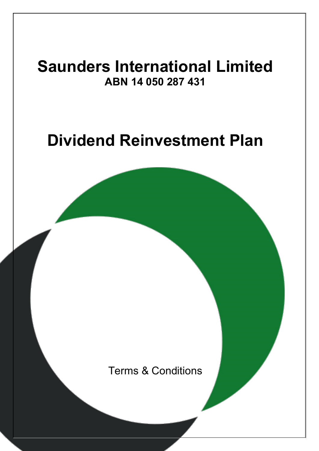# **Saunders International Limited ABN 14 050 287 431**

# **Dividend Reinvestment Plan**

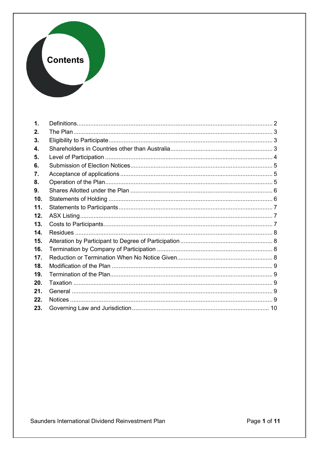## **Contents**

| 1.  |  |
|-----|--|
| 2.  |  |
| 3.  |  |
| 4.  |  |
| 5.  |  |
| 6.  |  |
| 7.  |  |
| 8.  |  |
| 9.  |  |
| 10. |  |
| 11. |  |
| 12. |  |
| 13. |  |
| 14. |  |
| 15. |  |
| 16. |  |
| 17. |  |
| 18. |  |
| 19. |  |
| 20. |  |
| 21. |  |
| 22. |  |
| 23. |  |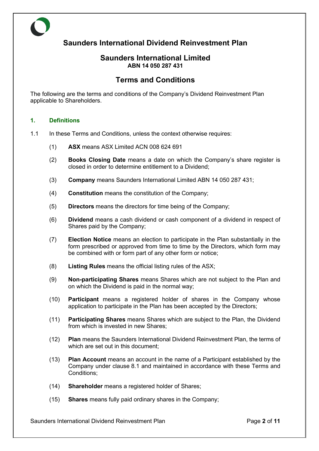## **Saunders International Dividend Reinvestment Plan**

#### **Saunders International Limited ABN 14 050 287 431**

### **Terms and Conditions**

The following are the terms and conditions of the Company's Dividend Reinvestment Plan applicable to Shareholders.

#### **1. Definitions**

- 1.1 In these Terms and Conditions, unless the context otherwise requires:
	- (1) **ASX** means ASX Limited ACN 008 624 691
	- (2) **Books Closing Date** means a date on which the Company's share register is closed in order to determine entitlement to a Dividend;
	- (3) **Company** means Saunders International Limited ABN 14 050 287 431;
	- (4) **Constitution** means the constitution of the Company;
	- (5) **Directors** means the directors for time being of the Company;
	- (6) **Dividend** means a cash dividend or cash component of a dividend in respect of Shares paid by the Company;
	- (7) **Election Notice** means an election to participate in the Plan substantially in the form prescribed or approved from time to time by the Directors, which form may be combined with or form part of any other form or notice;
	- (8) **Listing Rules** means the official listing rules of the ASX;
	- (9) **Non-participating Shares** means Shares which are not subject to the Plan and on which the Dividend is paid in the normal way;
	- (10) **Participant** means a registered holder of shares in the Company whose application to participate in the Plan has been accepted by the Directors;
	- (11) **Participating Shares** means Shares which are subject to the Plan, the Dividend from which is invested in new Shares:
	- (12) **Plan** means the Saunders International Dividend Reinvestment Plan, the terms of which are set out in this document:
	- (13) **Plan Account** means an account in the name of a Participant established by the Company under clause [8.1](#page-5-0) and maintained in accordance with these Terms and Conditions;
	- (14) **Shareholder** means a registered holder of Shares;
	- (15) **Shares** means fully paid ordinary shares in the Company;

Saunders International Dividend Reinvestment Plan Page **2** of **11**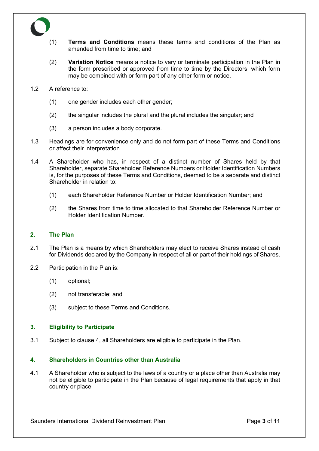- (1) **Terms and Conditions** means these terms and conditions of the Plan as amended from time to time; and
- (2) **Variation Notice** means a notice to vary or terminate participation in the Plan in the form prescribed or approved from time to time by the Directors, which form may be combined with or form part of any other form or notice.
- 1.2 A reference to:
	- (1) one gender includes each other gender;
	- (2) the singular includes the plural and the plural includes the singular; and
	- (3) a person includes a body corporate.
- 1.3 Headings are for convenience only and do not form part of these Terms and Conditions or affect their interpretation.
- 1.4 A Shareholder who has, in respect of a distinct number of Shares held by that Shareholder, separate Shareholder Reference Numbers or Holder Identification Numbers is, for the purposes of these Terms and Conditions, deemed to be a separate and distinct Shareholder in relation to:
	- (1) each Shareholder Reference Number or Holder Identification Number; and
	- (2) the Shares from time to time allocated to that Shareholder Reference Number or Holder Identification Number.

#### **2. The Plan**

- 2.1 The Plan is a means by which Shareholders may elect to receive Shares instead of cash for Dividends declared by the Company in respect of all or part of their holdings of Shares.
- 2.2 Participation in the Plan is:
	- (1) optional;
	- (2) not transferable; and
	- (3) subject to these Terms and Conditions.

#### **3. Eligibility to Participate**

<span id="page-3-0"></span>3.1 Subject to clause [4,](#page-3-0) all Shareholders are eligible to participate in the Plan.

#### **4. Shareholders in Countries other than Australia**

4.1 A Shareholder who is subject to the laws of a country or a place other than Australia may not be eligible to participate in the Plan because of legal requirements that apply in that country or place.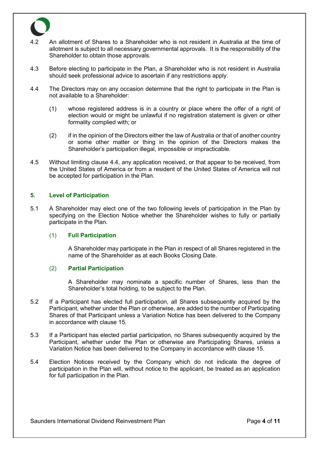

- 4.2 An allotment of Shares to a Shareholder who is not resident in Australia at the time of allotment is subject to all necessary governmental approvals. It is the responsibility of the Shareholder to obtain those approvals.
- 4.3 Before electing to participate in the Plan, a Shareholder who is not resident in Australia should seek professional advice to ascertain if any restrictions apply.
- <span id="page-4-0"></span>4.4 The Directors may on any occasion determine that the right to participate in the Plan is not available to a Shareholder:
	- (1) whose registered address is in a country or place where the offer of a right of election would or might be unlawful if no registration statement is given or other formality complied with; or
	- (2) if in the opinion of the Directors either the law of Australia or that of another country or some other matter or thing in the opinion of the Directors makes the Shareholder's participation illegal, impossible or impracticable.
- 4.5 Without limiting clause [4.4,](#page-4-0) any application received, or that appear to be received, from the United States of America or from a resident of the United States of America will not be accepted for participation in the Plan.

#### **5. Level of Participation**

5.1 A Shareholder may elect one of the two following levels of participation in the Plan by specifying on the Election Notice whether the Shareholder wishes to fully or partially participate in the Plan.

#### (1) **Full Participation**

A Shareholder may participate in the Plan in respect of all Shares registered in the name of the Shareholder as at each Books Closing Date.

#### (2) **Partial Participation**

A Shareholder may nominate a specific number of Shares, less than the Shareholder's total holding, to be subject to the Plan.

- 5.2 If a Participant has elected full participation, all Shares subsequently acquired by the Participant, whether under the Plan or otherwise, are added to the number of Participating Shares of that Participant unless a Variation Notice has been delivered to the Company in accordance with clause [15.](#page-8-0)
- 5.3 If a Participant has elected partial participation, no Shares subsequently acquired by the Participant, whether under the Plan or otherwise are Participating Shares, unless a Variation Notice has been delivered to the Company in accordance with clause [15.](#page-8-0)
- 5.4 Election Notices received by the Company which do not indicate the degree of participation in the Plan will, without notice to the applicant, be treated as an application for full participation in the Plan.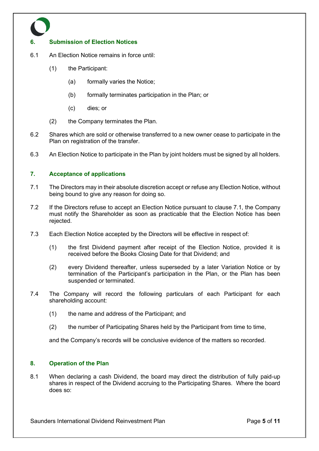#### **6. Submission of Election Notices**

- 6.1 An Election Notice remains in force until:
	- (1) the Participant:
		- (a) formally varies the Notice;
		- (b) formally terminates participation in the Plan; or
		- (c) dies; or
	- (2) the Company terminates the Plan.
- 6.2 Shares which are sold or otherwise transferred to a new owner cease to participate in the Plan on registration of the transfer.
- 6.3 An Election Notice to participate in the Plan by joint holders must be signed by all holders.

#### <span id="page-5-1"></span>**7. Acceptance of applications**

- 7.1 The Directors may in their absolute discretion accept or refuse any Election Notice, without being bound to give any reason for doing so.
- 7.2 If the Directors refuse to accept an Election Notice pursuant to clause [7.1,](#page-5-1) the Company must notify the Shareholder as soon as practicable that the Election Notice has been rejected.
- 7.3 Each Election Notice accepted by the Directors will be effective in respect of:
	- (1) the first Dividend payment after receipt of the Election Notice, provided it is received before the Books Closing Date for that Dividend; and
	- (2) every Dividend thereafter, unless superseded by a later Variation Notice or by termination of the Participant's participation in the Plan, or the Plan has been suspended or terminated.
- 7.4 The Company will record the following particulars of each Participant for each shareholding account:
	- (1) the name and address of the Participant; and
	- (2) the number of Participating Shares held by the Participant from time to time,

and the Company's records will be conclusive evidence of the matters so recorded.

#### <span id="page-5-0"></span>**8. Operation of the Plan**

8.1 When declaring a cash Dividend, the board may direct the distribution of fully paid-up shares in respect of the Dividend accruing to the Participating Shares. Where the board does so: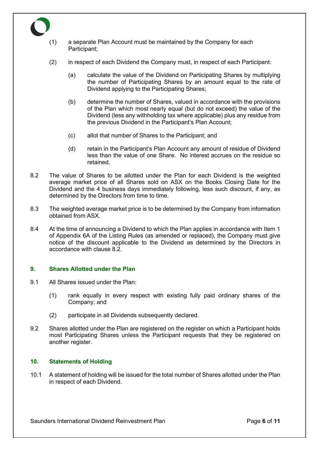

- (2) in respect of each Dividend the Company must, in respect of each Participant:
	- (a) calculate the value of the Dividend on Participating Shares by multiplying the number of Participating Shares by an amount equal to the rate of Dividend applying to the Participating Shares;
	- (b) determine the number of Shares, valued in accordance with the provisions of the Plan which most nearly equal (but do not exceed) the value of the Dividend (less any withholding tax where applicable) plus any residue from the previous Dividend in the Participant's Plan Account;
	- (c) allot that number of Shares to the Participant; and
	- (d) retain in the Participant's Plan Account any amount of residue of Dividend less than the value of one Share. No interest accrues on the residue so retained.
- <span id="page-6-0"></span>8.2 The value of Shares to be allotted under the Plan for each Dividend is the weighted average market price of all Shares sold on ASX on the Books Closing Date for the Dividend and the 4 business days immediately following, less such discount, if any, as determined by the Directors from time to time.
- 8.3 The weighted average market price is to be determined by the Company from information obtained from ASX.
- 8.4 At the time of announcing a Dividend to which the Plan applies in accordance with Item 1 of Appendix 6A of the Listing Rules (as amended or replaced), the Company must give notice of the discount applicable to the Dividend as determined by the Directors in accordance with clause [8.2.](#page-6-0)

#### **9. Shares Allotted under the Plan**

- 9.1 All Shares issued under the Plan:
	- (1) rank equally in every respect with existing fully paid ordinary shares of the Company; and
	- (2) participate in all Dividends subsequently declared.
- 9.2 Shares allotted under the Plan are registered on the register on which a Participant holds most Participating Shares unless the Participant requests that they be registered on another register.

#### **10. Statements of Holding**

10.1 A statement of holding will be issued for the total number of Shares allotted under the Plan in respect of each Dividend.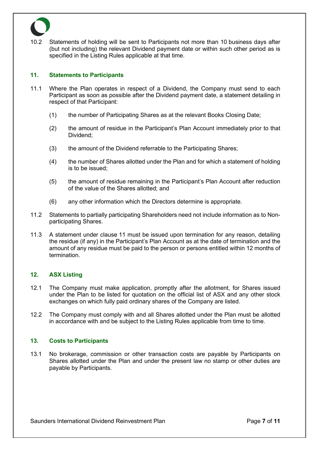

10.2 Statements of holding will be sent to Participants not more than 10 business days after (but not including) the relevant Dividend payment date or within such other period as is specified in the Listing Rules applicable at that time.

#### <span id="page-7-0"></span>**11. Statements to Participants**

- 11.1 Where the Plan operates in respect of a Dividend, the Company must send to each Participant as soon as possible after the Dividend payment date, a statement detailing in respect of that Participant:
	- (1) the number of Participating Shares as at the relevant Books Closing Date;
	- (2) the amount of residue in the Participant's Plan Account immediately prior to that Dividend;
	- (3) the amount of the Dividend referrable to the Participating Shares;
	- (4) the number of Shares allotted under the Plan and for which a statement of holding is to be issued;
	- (5) the amount of residue remaining in the Participant's Plan Account after reduction of the value of the Shares allotted; and
	- (6) any other information which the Directors determine is appropriate.
- 11.2 Statements to partially participating Shareholders need not include information as to Nonparticipating Shares.
- 11.3 A statement under clause [11](#page-7-0) must be issued upon termination for any reason, detailing the residue (if any) in the Participant's Plan Account as at the date of termination and the amount of any residue must be paid to the person or persons entitled within 12 months of termination.

#### **12. ASX Listing**

- 12.1 The Company must make application, promptly after the allotment, for Shares issued under the Plan to be listed for quotation on the official list of ASX and any other stock exchanges on which fully paid ordinary shares of the Company are listed.
- 12.2 The Company must comply with and all Shares allotted under the Plan must be allotted in accordance with and be subject to the Listing Rules applicable from time to time.

#### **13. Costs to Participants**

13.1 No brokerage, commission or other transaction costs are payable by Participants on Shares allotted under the Plan and under the present law no stamp or other duties are payable by Participants.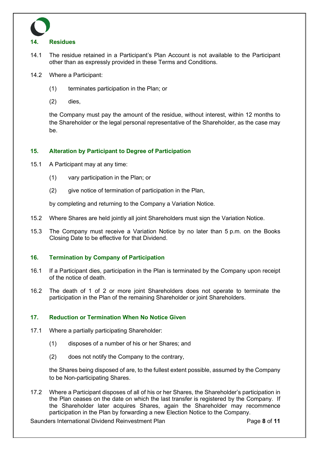

#### **14. Residues**

- 14.1 The residue retained in a Participant's Plan Account is not available to the Participant other than as expressly provided in these Terms and Conditions.
- 14.2 Where a Participant:
	- (1) terminates participation in the Plan; or
	- (2) dies,

the Company must pay the amount of the residue, without interest, within 12 months to the Shareholder or the legal personal representative of the Shareholder, as the case may be.

#### <span id="page-8-0"></span>**15. Alteration by Participant to Degree of Participation**

- 15.1 A Participant may at any time:
	- (1) vary participation in the Plan; or
	- (2) give notice of termination of participation in the Plan,

by completing and returning to the Company a Variation Notice.

- 15.2 Where Shares are held jointly all joint Shareholders must sign the Variation Notice.
- 15.3 The Company must receive a Variation Notice by no later than 5 p.m. on the Books Closing Date to be effective for that Dividend.

#### **16. Termination by Company of Participation**

- 16.1 If a Participant dies, participation in the Plan is terminated by the Company upon receipt of the notice of death.
- 16.2 The death of 1 of 2 or more joint Shareholders does not operate to terminate the participation in the Plan of the remaining Shareholder or joint Shareholders.

#### **17. Reduction or Termination When No Notice Given**

- 17.1 Where a partially participating Shareholder:
	- (1) disposes of a number of his or her Shares; and
	- (2) does not notify the Company to the contrary,

the Shares being disposed of are, to the fullest extent possible, assumed by the Company to be Non-participating Shares.

17.2 Where a Participant disposes of all of his or her Shares, the Shareholder's participation in the Plan ceases on the date on which the last transfer is registered by the Company. If the Shareholder later acquires Shares, again the Shareholder may recommence participation in the Plan by forwarding a new Election Notice to the Company.

Saunders International Dividend Reinvestment Plan Page **8** of **11**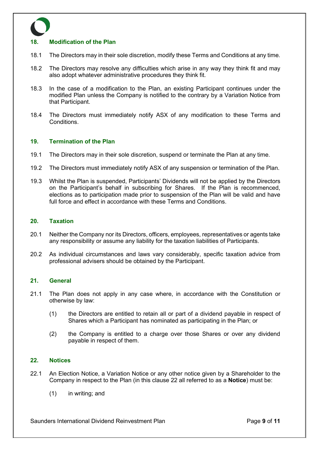#### **18. Modification of the Plan**

- 18.1 The Directors may in their sole discretion, modify these Terms and Conditions at any time.
- 18.2 The Directors may resolve any difficulties which arise in any way they think fit and may also adopt whatever administrative procedures they think fit.
- 18.3 In the case of a modification to the Plan, an existing Participant continues under the modified Plan unless the Company is notified to the contrary by a Variation Notice from that Participant.
- 18.4 The Directors must immediately notify ASX of any modification to these Terms and Conditions.

#### **19. Termination of the Plan**

- 19.1 The Directors may in their sole discretion, suspend or terminate the Plan at any time.
- 19.2 The Directors must immediately notify ASX of any suspension or termination of the Plan.
- 19.3 Whilst the Plan is suspended, Participants' Dividends will not be applied by the Directors on the Participant's behalf in subscribing for Shares. If the Plan is recommenced, elections as to participation made prior to suspension of the Plan will be valid and have full force and effect in accordance with these Terms and Conditions.

#### **20. Taxation**

- 20.1 Neither the Company nor its Directors, officers, employees, representatives or agents take any responsibility or assume any liability for the taxation liabilities of Participants.
- 20.2 As individual circumstances and laws vary considerably, specific taxation advice from professional advisers should be obtained by the Participant.

#### **21. General**

- 21.1 The Plan does not apply in any case where, in accordance with the Constitution or otherwise by law:
	- (1) the Directors are entitled to retain all or part of a dividend payable in respect of Shares which a Participant has nominated as participating in the Plan; or
	- (2) the Company is entitled to a charge over those Shares or over any dividend payable in respect of them.

#### <span id="page-9-0"></span>**22. Notices**

- 22.1 An Election Notice, a Variation Notice or any other notice given by a Shareholder to the Company in respect to the Plan (in this clause [22](#page-9-0) all referred to as a **Notice**) must be:
	- (1) in writing; and

Saunders International Dividend Reinvestment Plan Page **9** of **11**